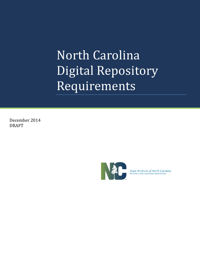December 2014 DRAFT



State Archives of North Carolina<br>NATURAL AND CULTURAL RESOURCES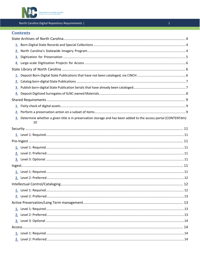

# **Contents**

| 2. |                                                                                                                      |  |
|----|----------------------------------------------------------------------------------------------------------------------|--|
| 3. |                                                                                                                      |  |
|    |                                                                                                                      |  |
|    |                                                                                                                      |  |
|    |                                                                                                                      |  |
| 2. |                                                                                                                      |  |
| 3. |                                                                                                                      |  |
|    |                                                                                                                      |  |
|    |                                                                                                                      |  |
|    |                                                                                                                      |  |
| 2. |                                                                                                                      |  |
| 3. | Determine whether a given title is in preservation storage and has been added to the access portal (CONTENTdm)<br>10 |  |
|    |                                                                                                                      |  |
|    |                                                                                                                      |  |
|    |                                                                                                                      |  |
|    |                                                                                                                      |  |
|    |                                                                                                                      |  |
|    |                                                                                                                      |  |
|    |                                                                                                                      |  |
|    |                                                                                                                      |  |
|    |                                                                                                                      |  |
|    |                                                                                                                      |  |
|    |                                                                                                                      |  |
|    |                                                                                                                      |  |
|    |                                                                                                                      |  |
|    |                                                                                                                      |  |
|    |                                                                                                                      |  |
|    |                                                                                                                      |  |
|    |                                                                                                                      |  |
|    |                                                                                                                      |  |
|    |                                                                                                                      |  |
|    |                                                                                                                      |  |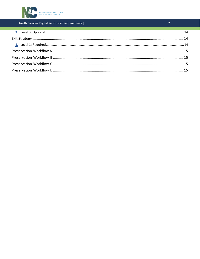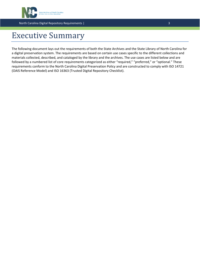

# Executive Summary

The following document lays out the requirements of both the State Archives and the State Library of North Carolina for a digital preservation system. The requirements are based on certain use cases specific to the different collections and materials collected, described, and cataloged by the library and the archives. The use cases are listed below and are followed by a numbered list of core requirements categorized as either "required," "preferred," or "optional." These requirements conform to the North Carolina Digital Preservation Policy and are constructed to comply with ISO 14721 (OAIS Reference Model) and ISO 16363 (Trusted Digital Repository Checklist).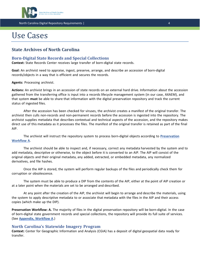

# Use Cases

# <span id="page-4-0"></span>**State Archives of North Carolina**

# <span id="page-4-1"></span>**Born-Digital State Records and Special Collections**

**Context:** State Records Center receives large transfer of born-digital state records.

**Goal:** An archivist need to appraise, ingest, preserve, arrange, and describe an accession of born-digital records/objects in a way that is efficient and secures the records.

**Agents:** Processing archivist.

**Actions:** An archivist brings in an accession of state records on an external hard drive. Information about the accession gathered from the transferring office is input into a records lifecycle management system (in our case, AXAEM), and that system **must** be able to share that information with the digital preservation repository and track the current status of ingested files.

After the accession has been checked for viruses, the archivist creates a manifest of the original transfer. The archivist then culls non-records and non-permanent records before the accession is ingested into the repository. The archivist supplies metadata that describes contextual and technical aspects of the accession, and the repository makes direct use of this metadata as it processes the files. The manifest of the original transfer is retained as part of the final AIP.

The archivist will instruct the repository system to process born-digital objects according to **[Preservation](#page-15-0) [Workflow](#page-15-0) A**.

The archivist should be able to inspect and, if necessary, correct any metadata harvested by the system and to add metadata, descriptive or otherwise, to the object before it is converted to an AIP. The AIP will consist of the original objects and their original metadata, any added, extracted, or embedded metadata, any normalized derivatives, and file hashes.

Once the AIP is stored, the system will perform regular backups of the files and periodically check them for corruption or obsolescence.

The system must be able to produce a DIP from the contents of the AIP, either at the point of AIP creation or at a later point when the materials are set to be arranged and described.

At any point after the creation of the AIP, the archivist will begin to arrange and describe the materials, using the system to apply descriptive metadata to or associate that metadata with the files in the AIP and their access copies (which make up the DIP).

**Preservation Workflow: A.** The majority of files in the digital preservation repository will be born-digital. In the case of born-digital state government records and special collections, the repository will provide its full suite of services. (See **[Appendix,](#page-15-0) Workflow A**.)

### <span id="page-4-2"></span>**North Carolina's Statewide Imagery Program**

**Context:** Center for Geographic Information and Analysis (CGIA) has a deposit of digital geospatial data ready for transfer.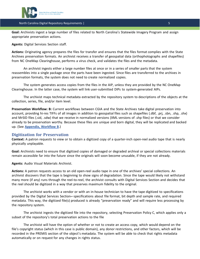

**Goal:** Archivists ingest a large number of files related to North Carolina's Statewide Imagery Program and assign appropriate preservation actions.

**Agents:** Digital Services Section staff.

**Actions:** Originating agency prepares the files for transfer and ensures that the files format complies with the State Archives preservation formats. An archivist receives a transfer of geospatial data (orthophotographs and shapefiles) from NC OneMap Clearinghouse, performs a virus check, and validates the files and the metadata.

An archivist ingests either a large number files at once or in a series of smaller parts that the system reassembles into a single package once the parts have been ingested. Since files are transferred to the archives in preservation formats, the system does not need to create normalized copies.

The system generates access copies from the files in the AIP, unless they are provided by the NC OneMap Clearinghouse. In the latter case, the system will link user-submitted DIPs to system-generated AIPs.

The archivist maps technical metadata extracted by the repository system to descriptions of the objects at the collection, series, file, and/or item level.

**Preservation Workflow: B:** Current workflows between CGIA and the State Archives take digital preservation into account, providing hi-res TIFFs of all images in addition to geospatial files such as shapefiles (.dbf, .prj, .sbn, .shp, .shx) and MrSID files (.sid, .sdw) that we receive in normalized versions (XML versions of .shp files) or that we consider already to be preservation worthy. Because these files are unique and born digital, they will be replicated and backed up. (See **[Appendix,](#page-15-1) Workflow B**.)

#### <span id="page-5-0"></span>**Digitization for Preservation**

**Context:** A patron requests to view or to obtain a digitized copy of a quarter-inch open-reel audio tape that is nearly physically unplayable.

**Goal:** Archivists need to ensure that digitized copies of damaged or degraded archival or special collections materials remain accessible far into the future since the originals will soon become unusable, if they are not already.

**Agents:** Audio Visual Materials Archivist.

**Actions:** A patron requests access to an old open-reel audio tape in one of the archives' special collections. An archivist discovers that the tape is beginning to show signs of degradation. Since the tape would likely not withstand many more (if any) runs through the reel-to-reel, the archivist consults with Digital Services Section and decides that the reel should be digitized in a way that preserves maximum fidelity to the original.

The archivist works with a vendor or with an in-house technician to have the tape digitized to specifications provided by the Digital Services Section←specifications about file format, bit depth and sample rate, and required metadata. This way, the digitized file(s) produced is already "preservation ready" and will require less processing by the repository system.

The archivist ingests the digitized file into the repository, selecting Preservation Policy C, which applies only a subset of the repository's total preservation actions to the file

The archivist will have the option of whether or not to create an access copy, which would depend on the file's copyright status (which in this case is public domain), any donor restrictions, and other factors, which will be recorded in the PREMIS section of the object's metadata. The system will be able to check that rights metadata automatically or on request for any changes in rights status.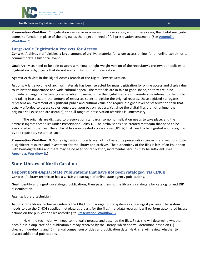

**Preservation Workflow: C.** Digitization can serve as a means of preservation, and in these cases, the digital surrogate comes to function in place of the original as the object in need of full preservation treatment. (See **[Appendix,](#page-15-2) [Workflow](#page-15-2) C**.)

### <span id="page-6-0"></span>**Large-scale Digitization Projects for Access**

**Context:** Archives staff digitizes a large amount of archival material for wider access online, for an online exhibit, or to commemorate a historical event.

**Goal:** Archivists need to be able to apply a minimal or light-weight version of the repository's preservation policies to digitized records/objects that do not warrant full format preservation.

**Agents:** Archivists in the Digital Access Branch of the Digital Services Section.

**Actions:** A large volume of archival materials has been selected for mass digitization for online access and display due to its historic importance and wide cultural appeal. The materials are in fair-to-good shape, so they are in no immediate danger of becoming inaccessible. However, since the digital files are of considerable interest to the public and taking into account the amount of resources spent to digitize the original records, these digitized surrogates represent an investment of significant public and cultural value and require a higher level of preservation than that usually afforded to access copies generated upon patron request. Yet since the digital files are not unique (the originals still exist and are useable), the full range of preservation activities is unnecessary.

The originals are digitized to preservation standards, so no normalization needs to take place, and the archivist ingests these files under Preservation Policy D. The archivist has also created metadata that need to be associated with the files. The archivist has also created access copies (JPEGs) that need to be ingested and recognized by the repository system as such.

**Preservation Workflow: D.** Some digitization projects are not motivated by preservation concerns and yet constitute a significant resource and investment for the library and archives. The authenticity of the files is less of an issue than with born-digital files and there may be no need for replication, incremental backups may be sufficient. (See **[Appendix,](#page-15-3) Workflow D**.)

# <span id="page-6-1"></span>**State Library of North Carolina**

#### <span id="page-6-2"></span>**Deposit Born-Digital State Publications that have not been cataloged, via CINCH Context**: A library technician has a CINCH zip package of online state agency publications.

**Goal**: Identify and ingest uncataloged publications, then pass them to the library's catalogers for cataloging and DIP dissemination.

#### **Agents:** Library technician

**Actions:** The library technician submits the CINCH zip package to the system as a pre-ingest package. The system needs to use the CINCH-supplied metadata as a basis for the files' metadata records. It will perform automated ingest actions on the publication files according to **[Preservation](#page-15-1) Workflow B**.

Next, the technician will need to manually process and describe the files. First, she will determine whether each file is a duplicate of a publication already received by the Library, which she will determine based on (1) checksum de-duping and (2) manual comparison of titles and publication date. Next, she will review whether to discard additional publications.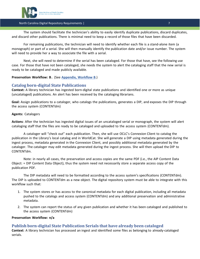

The system should facilitate the technician's ability to easily identify duplicate publications, discard duplicates, and discard other publications. There is minimal need to keep a record of those files that have been discarded.

For remaining publications, the technician will need to identify whether each file is a stand-alone item (a monograph) or part of a serial. She will then manually identify the publication date and/or issue number. The system will need to provide her a way to associate the file with a serial.

Next, she will need to determine if the serial has been cataloged. For those that have, see the following use case. For those that have not been cataloged, she needs the system to alert the cataloging staff that the new serial is ready to be cataloged and made publicly available.

#### **Preservation Workflow: B .** (See **[Appendix,](#page-15-1) Workflow B**.)

### <span id="page-7-0"></span>**Catalog born-digital State Publications**

**Context:** A library technician has ingested born-digital state publications and identified one or more as unique (uncataloged) publications. An alert has been received by the cataloging librarians.

**Goal:** Assign publications to a cataloger, who catalogs the publications, generates a DIP, and exposes the DIP through the access system (CONTENTdm)

#### **Agents:** Catalogers

**Actions**: After the technician has ingested digital issues of an uncataloged serial or monograph, the system will alert cataloging staff that the files are ready to be cataloged and uploaded to the access system (CONTENTdm).

A cataloger will "check out" each publication. Then, she will use OCLC's Connexion Client to catalog the publication in the Library's local catalog and in WorldCat. She will generate a DIP using metadata generated during the ingest process, metadata generated in the Connexion Client, and possibly additional metadata generated by the cataloger. The cataloger may edit metadata generated during the ingest process. She will then upload the DIP to CONTENTdm.

Note: in nearly all cases, the preservation and access copies are the same PDF (i.e., the AIP Content Data Object: = DIP Content Data Object), thus the system need not necessarily store a separate access copy of the publication PDF.

The DIP metadata will need to be formatted according to the access system's specifications (CONTENTdm). The DIP is uploaded to CONTENTdm as a new object. The digital repository system must be able to integrate with this workflow such that:

- 1. The system stores or has access to the canonical metadata for each digital publication, including all metadata pushed to the catalogs and access system (CONTENTdm) and any additional preservation and administrative metadata.
- 2. The system can report the status of any given publication and whether it has been cataloged and published to the access system (CONTENTdm)

#### **Preservation Workflow: n/a**

# <span id="page-7-1"></span>**Publish born-digital State Publication Serials that have already been cataloged**

**Context**: A library technician has processed an ingest and identified some files as belonging to already-cataloged serials.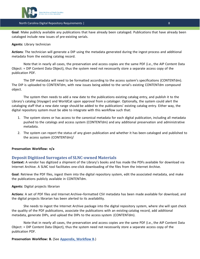

**Goal**: Make publicly available any publications that have already been cataloged. Publications that have already been cataloged include new issues of pre-existing serials.

#### **Agents:** Library technician

**Actions**: The technician will generate a DIP using the metadata generated during the ingest process and additional metadata from the existing catalog record.

Note that in nearly all cases, the preservation and access copies are the same PDF (i.e., the AIP Content Data Object: = DIP Content Data Object), thus the system need not necessarily store a separate access copy of the publication PDF.

The DIP metadata will need to be formatted according to the access system's specifications (CONTENTdm). The DIP is uploaded to CONTENTdm, with new issues being added to the serial's existing CONTENTdm compound object.

The system then needs to add a new date to the publications existing catalog entry, and publish it to the Library's catalog (Voyager) and WorldCat upon approval from a cataloger. Optionally, the system could alert the cataloging staff that a new date range should be added to the publications' existing catalog entry. Either way, the digital repository system must be able to integrate with this workflow such that:

- 1. The system stores or has access to the canonical metadata for each digital publication, including all metadata pushed to the catalogs and access system (CONTENTdm) and any additional preservation and administrative metadata.
- 2. The system can report the status of any given publication and whether it has been cataloged and published to the access system (CONTENTdm)/

#### **Preservation Workflow: n/a**

### <span id="page-8-0"></span>**Deposit Digitized Surrogates of SLNC-owned Materials**

**Context:** A vendor has digitized a shipment of the Library's books and has made the PDFs available for download via Internet Archive. A SLNC tool facilitates one-click downloading of the files from the Internet Archive.

**Goal**: Retrieve the PDF files, ingest them into the digital repository system, edit the associated metadata, and make the publications publicly available in CONTENTdm.

#### **Agents:** Digital projects librarian

**Actions**: A set of PDF files and Internet Archive–formatted CSV metadata has been made available for download, and the digital projects librarian has been alerted to its availability.

She needs to ingest the Internet Archive package into the digital repository system, where she will spot check the quality of the PDF publications, associate the publications with an existing catalog record, add additional metadata, generate DIPs, and upload the DIPs to the access system (CONTENTdm).

Note that in nearly all cases, the preservation and access copies are the same PDF (i.e., the AIP Content Data Object: = DIP Content Data Object), thus the system need not necessarily store a separate access copy of the publication PDF.

**Preservation Workflow: B.** (See **[Appendix,](#page-15-1) Workflow B**.)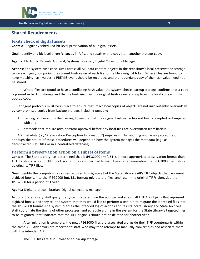

# <span id="page-9-0"></span>**Shared Requirements**

# <span id="page-9-1"></span>**Fixity check of digital assets**

**Context:** Regularly-scheduled bit-level preservation of all digital assets

**Goal**: Identify any bit level errors/changes in AIPs, and repair with a copy from another storage copy.

**Agents:** Electronic Records Archivist, Systems Librarian, Digital Collections Manager

**Actions**: The system runs checksums across all AIP data content objects in the repository's local preservation storage twice each year, comparing the current hash value of each file to the file's original token. Where files are found to have matching hash values, a PREMIS event should be recorded, and the redundant copy of the hash value need not be stored.

Where files are found to have a conflicting hash value, the system checks backup storage, confirms that a copy is present in backup storage and that its hash matches the original hash value, and replaces the local copy with the backup copy.

Stringent protocols **must** be in place to ensure that intact local copies of objects are not inadvertently overwritten by compromised copies from backup storage, including possibly:

- 1. hashing of checksums themselves, to ensure that the original hash value has not been corrupted or tampered with and
- 2. protocols that require administrator approval before any local files are overwritten from backup.

AIP metadata (or, "Preservation Description Information") requires similar auditing and repair procedures, although the nature of these procedures will depend on how the system manages the metadata (e.g., as decentralized XML files or in a centralized database).

#### <span id="page-9-2"></span>**Perform a preservation action on a subset of items**

**Context:** The State Library has determined that it JPEG2000 fmt/151 is a more appropriate preservation format than TIFF for its collection of TIFF book scans. It has also decided to wait 1 year after generating the JPEG2000 files before deleting its TIFF files.

**Goal**: Identify the computing resources required to migrate all of the State Library's AIPs TIFF objects that represent digitized books, into the JPEG2000 fmt/151 format; migrate the files; and retain the original TIFFs alongside the JPEG2000 for a period of 1 year.

**Agents:** Digital projects librarian, Digital collections manager

**Actions**: State Library staff query the system to determine the number and size of all TIFF AIP objects that represent digitized books, and they tell the system that they would like to perform a test run to migrate the identified files into the JPEG2000 format. The system outputs the intended log of actions and results. State Library and State Archives staff coordinate the timing of other processes, and schedule a time in the system for the State Library's targeted files to be migrated. Staff indicates that the TIFF originals should not be deleted for another year.

After migration is complete, the new JPEG2000 files are associated alongside their TIFF counterparts within the same AIP. Any errors are reported to staff, who may then attempt to manually convert files and associate them with the intended AIP.

The TIFF files are also uploaded to backup storage.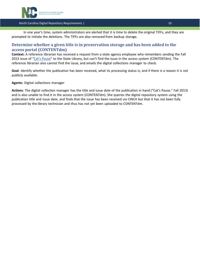

In one year's time, system administrators are alerted that it is time to delete the original TIFFs, and they are prompted to initiate the deletions. The TIFFs are also removed from backup storage.

# <span id="page-10-0"></span>**Determine whether a given title is in preservation storage and has been added to the access portal (CONTENTdm)**

**Context:** A reference librarian has received a request from a state agency employee who remembers sending the Fall 2013 issue of "Cat's [Pause](http://www.google.com/url?q=http%3A%2F%2Fdigital.ncdcr.gov%2Fcdm%2Fcompoundobject%2Fcollection%2Fp16062coll9%2Fid%2F5604&sa=D&sntz=1&usg=AFQjCNFJSRJe-C9VyrpwFuVyyfoJsPH4wA)" to the State Library, but can't find the issue in the access system (CONTENTdm). The reference librarian also cannot find the issue, and emails the digital collections manager to check.

**Goal**: Identify whether the publication has been received, what its processing status is, and if there is a reason it is not publicly available.

**Agents:** Digital collections manager

**Actions**: The digital collection manager has the title and issue date of the publication in hand ("Cat's Pause," Fall 2013) and is also unable to find it in the access system (CONTENTdm). She queries the digital repository system using the publication title and issue date, and finds that the issue has been received via CINCH but that it has not been fully processed by the library technician and thus has not yet been uploaded to CONTENTdm.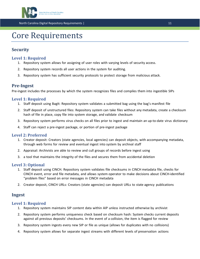

# Core Requirements

# <span id="page-11-0"></span>**Security**

# <span id="page-11-1"></span>**Level 1: Required**

- 1. Repository system allows for assigning of user roles with varying levels of security access.
- 2. Repository system records all user actions in the system for auditing.
- 3. Repository system has sufficient security protocols to protect storage from malicious attack.

# <span id="page-11-2"></span>**Pre-Ingest**

Pre-ingest includes the processes by which the system recognizes files and compiles them into ingestible SIPs

# <span id="page-11-3"></span>**Level 1: Required**

- 1. Staff deposit using BagIt: Repository system validates a submitted bag using the bag's manifest file
- 2. Staff deposit of unstructured files: Repository system can take files without any metadata, create a checksum hash of file in place, copy file into system storage, and validate checksum
- 3. Repository system performs virus checks on all files prior to ingest and maintain an up-to-date virus dictionary
- 4. Staff can reject a pre-ingest package, or portion of pre-ingest package

### <span id="page-11-4"></span>**Level 2: Preferred**

- 1. Creator deposit: Creators (state agencies, local agencies) can deposit objects, with accompanying metadata, through web forms for review and eventual ingest into system by archival staff
- 2. Appraisal: Archivists are able to review and cull groups of records before ingest using
- 3. a tool that maintains the integrity of the files and secures them from accidental deletion

# <span id="page-11-5"></span>**Level 3: Optional**

- 1. Staff deposit using CINCH. Repository system validates file checksums in CINCH metadata file, checks for CINCH event, error and file metadata, and allows system operator to make decisions about CINCH-identified "problem files" based on error messages in CINCH metadata
- 2. Creator deposit, CINCH URLs: Creators (state agencies) can deposit URLs to state agency publications

# <span id="page-11-6"></span>**Ingest**

### <span id="page-11-7"></span>**Level 1: Required**

- 1. Repository system maintains SIP content data within AIP unless instructed otherwise by archivist
- 2. Repository system performs uniqueness check based on checksum hash: System checks current deposits against all previous deposits' checksums. In the event of a collision, the item is flagged for review
- 3. Repository system ingests every new SIP or file as unique (allows for duplicates with no collisions)
- 4. Repository system allows for separate ingest streams with different levels of preservation actions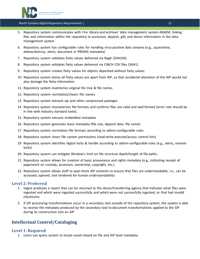

- 5. Repository system communicates with the library and archives' data management system AXAEM, linking files and information within the repository to accession, deposit, gift, and donor information in the data management system
- 6. Repository system has configurable rules for handling virus-positive data streams (e.g., quarantine, delete/destroy, alerts, document in PREMIS metadata)
- 7. Repository system validates fixity values delivered via BagIt (SHA256)
- 8. Repository system validates fixity values delivered via CINCH CSV files (SHA1)
- 9. Repository system creates fixity values for objects deposited without fixity values
- 10. Repository system stores all fixity values are apart from AIP, so that accidental alteration of the AIP would not also damage the fixity information
- 11. Repository system inventories original file tree & file names
- 12. Repository system normalizes/cleans file names
- 13. Repository system extracts zip and other compressed packages
- 14. Repository system characterizes file formats and confirms files are valid and well formed (error rate should be in line with industry standard tools).
- 15. Repository system extracts embedded metadata
- 16. Repository system generates basic metadata (file size, deposit date, file name)
- 17. Repository system normalizes file formats according to admin-configurable rules
- 18. Repository system clears file system permissions (read-write-execute/access control lists)
- 19. Repository system identifies digital locks & handle according to admin-configurable rules (e.g., alerts, remove locks)
- 20. Repository system can mitigate Window's limit on file structure depth/length of file paths.
- 21. Repository system allows for creation of basic provenance and rights metadata (e.g., indicating receipt of paperwork on custody, accession, ownership, copyright, etc.)
- 22. Repository system allows staff to spot check AIP contents to ensure that files are understandable, i.e., can be accessed, opened, and rendered for human understandability

### <span id="page-12-0"></span>**Level 2: Preferred**

- 1. Ingest produces a report that can be returned to the donor/transferring agency that indicates what files were ingested and which were ingested successfully and which were not successfully ingested, or that had invalid checksums
- 2. If SIP processing transformations occur in a secondary tool outside of the repository system, the system is able to receive the metadata produced by the secondary tool to document transformations applied to the SIP during its construction into an AIP

# <span id="page-12-1"></span>**Intellectual Control/Cataloging**

### <span id="page-12-2"></span>**Level 1: Required**

1. Users can query system to locate assets based on file and AIP level metadata.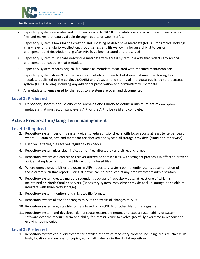

- 2. Repository system generates and continually records PREMIS metadata associated with each file/collection of files and makes that data available through reports or web interface
- 3. Repository system allows for the creation and updating of descriptive metadata (MODS) for archival holdings at any level of granularity—collection, group, series, and file—allowing for an archivist to perform arrangement and description long after AIPs have been created and preserved
- 4. Repository system must share descriptive metadata with access system in a way that reflects any archival arrangement encoded in that metadata
- 5. Repository system records original file names as metadata associated with renamed records/objects
- 6. Repository system stores/links the canonical metadata for each digital asset, at minimum linking to all metadata published to the catalogs (AXAEM and Voyager) and storing all metadata published to the access system (CONTENTdm), including any additional preservation and administrative metadata
- 7. All metadata schemas used by the repository system are open and documented

### <span id="page-13-0"></span>**Level 2: Preferred**

1. Repository system should allow the Archives and Library to define a minimum set of descriptive metadata that must accompany every AIP for the AIP to be valid and complete.

# <span id="page-13-1"></span>**Active Preservation/Long Term management**

#### <span id="page-13-2"></span>**Level 1: Required**

- 2. Repository system performs system-wide, scheduled fixity checks with logs/reports at least twice per year, where AIP data objects and metadata are checked and synced all storage providers (cloud and otherwise)
- 3. Hash value tables/file receives regular fixity checks
- 4. Repository system gives clear indication of files affected by any bit-level changes
- 5. Repository system can correct or recover altered or corrupt files, with stringent protocols in effect to prevent accidental replacement of intact files with bit-altered files
- 6. Where unrecoverable bit errors occur in AIPs, repository system permanently retains documentation of those errors such that reports listing all errors can be produced at any time by system administrators
- 7. Repository system creates multiple redundant backups of repository data, at least one of which is maintained on North Carolina servers. (Repository system may either provide backup storage or be able to integrate with third-party storage)
- 8. Repository system monitors and migrates file formats
- 9. Repository system allows for changes to AIPs and tracks all changes to AIPs
- 10. Repository system migrates file formats based on PRONOM or other file format registries
- 11. Repository system and developer demonstrate reasonable grounds to expect sustainability of system software over the medium term and ability for infrastructure to evolve gracefully over time in response to evolving technologies

### <span id="page-13-3"></span>**Level 2: Preferred**

1. Repository system can query system for detailed reports of repository content, including file size, checksum hash, location, and number of copies, etc. of all materials in the digital repository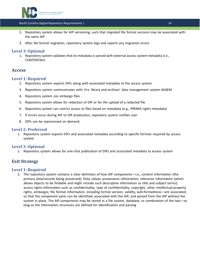

- 2. Repository system allows for AIP versioning, such that migrated file format versions may be associated with the same AIP
- 3. After file format migration, repository system logs and reports any migration errors

# <span id="page-14-0"></span>**Level 3: Optional**

1. Repository system validates that its metadata is synced with external access system metadata (i.e., CONTENTdm)

# <span id="page-14-1"></span>**Access**

### <span id="page-14-2"></span>**Level 1: Required**

- 2. Repository system exports DIPs along with associated metadata to the access system
- 3. Repository system communicates with the library and archives' data management system AXAEM
- 4. Repository system can embargo files
- 5. Repository system allows for redaction of DIP or for the upload of a redacted file
- 6. Repository system can restrict access to files based on metadata (e.g., PREMIS rights metadata)
- 7. If errors occur during AIP to DIP production, repository system notifies user
- 8. DIPs can be reprocessed on demand.

#### <span id="page-14-3"></span>**Level 2: Preferred**

1. Repository system exports DIPs and associated metadata according to specific formats required by access system

### <span id="page-14-4"></span>**Level 3: Optional**

1. Repository system allows for one-click publication of DIPs and associated metadata to access system

# <span id="page-14-5"></span>**Exit Strategy**

### <span id="page-14-6"></span>**Level 1: Required**

2. The repository system contains a clear definition of how AIP components—i.e., content information (the primary data/records being preserved); fixity values; provenance information; reference information (which allows objects to be findable and might include such descriptive information as title and subject terms); access rights information such as confidentiality, type of confidentiality, copyright, other intellectual property rights, embargos; file format information, including format version, validity, well-formedness—are associated, so that the component parts can be identified, associated with the AIP, and parsed from the AIP without the system in place. The AIP components may be stored in a file system, database, or combination of the two—so long as the information structures are defined for identification and parsing